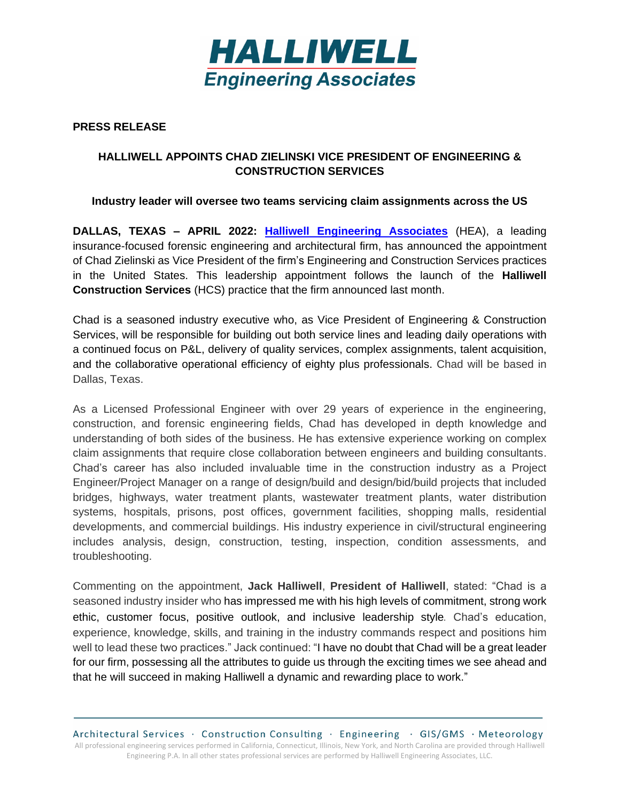

# **PRESS RELEASE**

# **HALLIWELL APPOINTS CHAD ZIELINSKI VICE PRESIDENT OF ENGINEERING & CONSTRUCTION SERVICES**

## **Industry leader will oversee two teams servicing claim assignments across the US**

**DALLAS, TEXAS – APRIL 2022: [Halliwell Engineering Associates](https://www.heainc.com/)** (HEA), a leading insurance-focused forensic engineering and architectural firm, has announced the appointment of Chad Zielinski as Vice President of the firm's Engineering and Construction Services practices in the United States. This leadership appointment follows the launch of the **Halliwell Construction Services** (HCS) practice that the firm announced last month.

Chad is a seasoned industry executive who, as Vice President of Engineering & Construction Services, will be responsible for building out both service lines and leading daily operations with a continued focus on P&L, delivery of quality services, complex assignments, talent acquisition, and the collaborative operational efficiency of eighty plus professionals. Chad will be based in Dallas, Texas.

As a Licensed Professional Engineer with over 29 years of experience in the engineering, construction, and forensic engineering fields, Chad has developed in depth knowledge and understanding of both sides of the business. He has extensive experience working on complex claim assignments that require close collaboration between engineers and building consultants. Chad's career has also included invaluable time in the construction industry as a Project Engineer/Project Manager on a range of design/build and design/bid/build projects that included bridges, highways, water treatment plants, wastewater treatment plants, water distribution systems, hospitals, prisons, post offices, government facilities, shopping malls, residential developments, and commercial buildings. His industry experience in civil/structural engineering includes analysis, design, construction, testing, inspection, condition assessments, and troubleshooting.

Commenting on the appointment, **Jack Halliwell**, **President of Halliwell**, stated: "Chad is a seasoned industry insider who has impressed me with his high levels of commitment, strong work ethic, customer focus, positive outlook, and inclusive leadership style*.* Chad's education, experience, knowledge, skills, and training in the industry commands respect and positions him well to lead these two practices." Jack continued: "I have no doubt that Chad will be a great leader for our firm, possessing all the attributes to guide us through the exciting times we see ahead and that he will succeed in making Halliwell a dynamic and rewarding place to work."